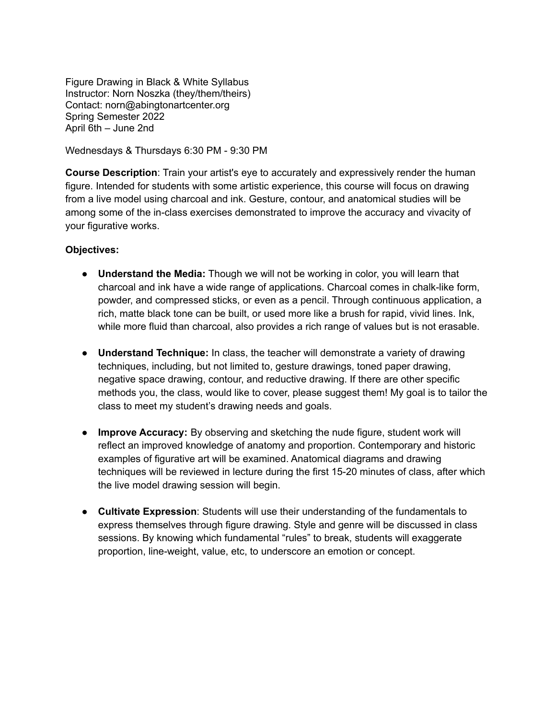Figure Drawing in Black & White Syllabus Instructor: Norn Noszka (they/them/theirs) Contact: norn@abingtonartcenter.org Spring Semester 2022 April 6th – June 2nd

Wednesdays & Thursdays 6:30 PM - 9:30 PM

**Course Description**: Train your artist's eye to accurately and expressively render the human figure. Intended for students with some artistic experience, this course will focus on drawing from a live model using charcoal and ink. Gesture, contour, and anatomical studies will be among some of the in-class exercises demonstrated to improve the accuracy and vivacity of your figurative works.

## **Objectives:**

- **Understand the Media:** Though we will not be working in color, you will learn that charcoal and ink have a wide range of applications. Charcoal comes in chalk-like form, powder, and compressed sticks, or even as a pencil. Through continuous application, a rich, matte black tone can be built, or used more like a brush for rapid, vivid lines. Ink, while more fluid than charcoal, also provides a rich range of values but is not erasable.
- **● Understand Technique:** In class, the teacher will demonstrate a variety of drawing techniques, including, but not limited to, gesture drawings, toned paper drawing, negative space drawing, contour, and reductive drawing. If there are other specific methods you, the class, would like to cover, please suggest them! My goal is to tailor the class to meet my student's drawing needs and goals.
- **Improve Accuracy:** By observing and sketching the nude figure, student work will reflect an improved knowledge of anatomy and proportion. Contemporary and historic examples of figurative art will be examined. Anatomical diagrams and drawing techniques will be reviewed in lecture during the first 15-20 minutes of class, after which the live model drawing session will begin.
- **Cultivate Expression**: Students will use their understanding of the fundamentals to express themselves through figure drawing. Style and genre will be discussed in class sessions. By knowing which fundamental "rules" to break, students will exaggerate proportion, line-weight, value, etc, to underscore an emotion or concept.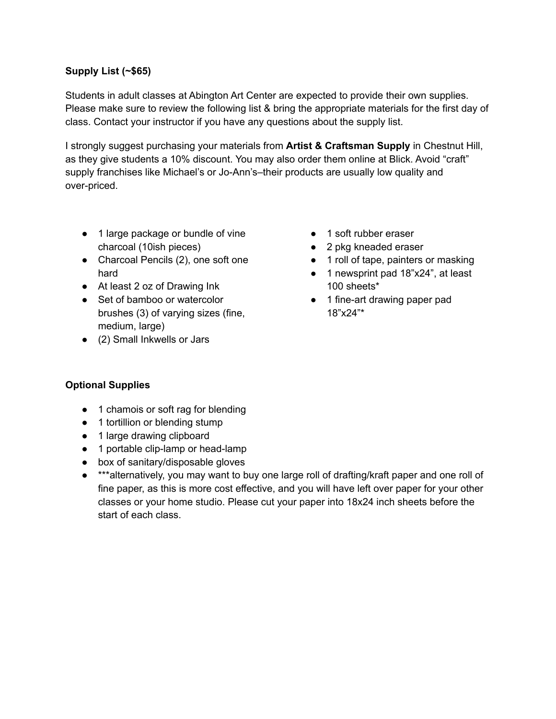## **Supply List (~\$65)**

Students in adult classes at Abington Art Center are expected to provide their own supplies. Please make sure to review the following list & bring the appropriate materials for the first day of class. Contact your instructor if you have any questions about the supply list.

I strongly suggest purchasing your materials from **Artist & Craftsman Supply** in Chestnut Hill, as they give students a 10% discount. You may also order them online at Blick. Avoid "craft" supply franchises like Michael's or Jo-Ann's–their products are usually low quality and over-priced.

- 1 large package or bundle of vine charcoal (10ish pieces)
- Charcoal Pencils (2), one soft one hard
- At least 2 oz of Drawing Ink
- Set of bamboo or watercolor brushes (3) of varying sizes (fine, medium, large)
- (2) Small Inkwells or Jars
- 1 soft rubber eraser
- 2 pkg kneaded eraser
- 1 roll of tape, painters or masking
- 1 newsprint pad 18"x24", at least 100 sheets\*
- 1 fine-art drawing paper pad 18"x24"\*

# **Optional Supplies**

- 1 chamois or soft rag for blending
- 1 tortillion or blending stump
- 1 large drawing clipboard
- 1 portable clip-lamp or head-lamp
- box of sanitary/disposable gloves
- \*\*\*alternatively, you may want to buy one large roll of drafting/kraft paper and one roll of fine paper, as this is more cost effective, and you will have left over paper for your other classes or your home studio. Please cut your paper into 18x24 inch sheets before the start of each class.